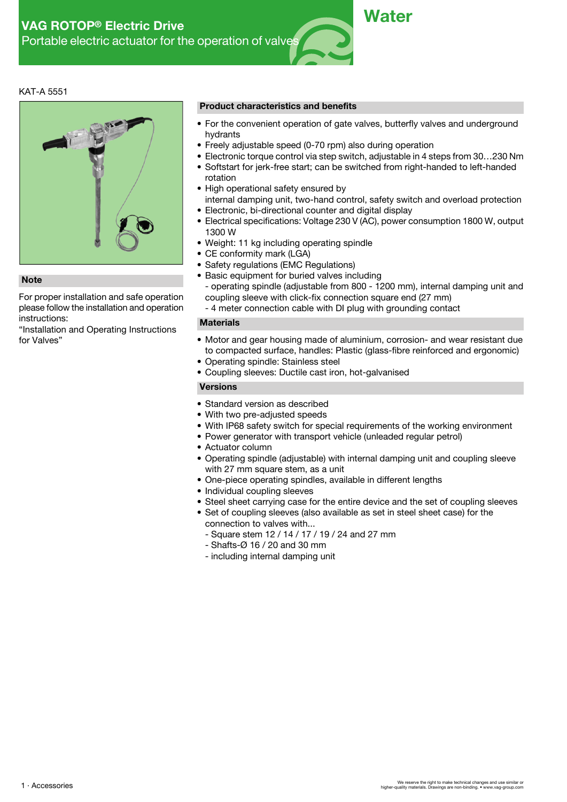## KAT-A 5551



For proper installation and safe operation please follow the installation and operation instructions:

"Installation and Operating Instructions

#### **Product characteristics and benefits**

- For the convenient operation of gate valves, butterfly valves and underground hydrants
- Freely adjustable speed (0-70 rpm) also during operation
- Electronic torque control via step switch, adjustable in 4 steps from 30…230 Nm
- Softstart for jerk-free start; can be switched from right-handed to left-handed rotation
- High operational safety ensured by
- internal damping unit, two-hand control, safety switch and overload protection • Electronic, bi-directional counter and digital display
- Electrical specifications: Voltage 230 V (AC), power consumption 1800 W, output 1300 W
- Weight: 11 kg including operating spindle
- CE conformity mark (LGA)
- Safety regulations (EMC Regulations)
- Basic equipment for buried valves including
- operating spindle (adjustable from 800 1200 mm), internal damping unit and **Note** coupling sleeve with click-fix connection square end (27 mm)
	- 4 meter connection cable with DI plug with grounding contact

### **Materials**

- Motor and gear housing made of aluminium, corrosion- and wear resistant due to compacted surface, handles: Plastic (glass-fibre reinforced and ergonomic)
- Operating spindle: Stainless steel
- Coupling sleeves: Ductile cast iron, hot-galvanised

# **Versions**

- Standard version as described
- With two pre-adiusted speeds
- With IP68 safety switch for special requirements of the working environment
- Power generator with transport vehicle (unleaded regular petrol)
- Actuator column
- Operating spindle (adjustable) with internal damping unit and coupling sleeve with 27 mm square stem, as a unit
- One-piece operating spindles, available in different lengths
- Individual coupling sleeves
- Steel sheet carrying case for the entire device and the set of coupling sleeves
- Set of coupling sleeves (also available as set in steel sheet case) for the connection to valves with...
	- Square stem 12 / 14 / 17 / 19 / 24 and 27 mm
	- Shafts-Ø 16 / 20 and 30 mm
	- including internal damping unit